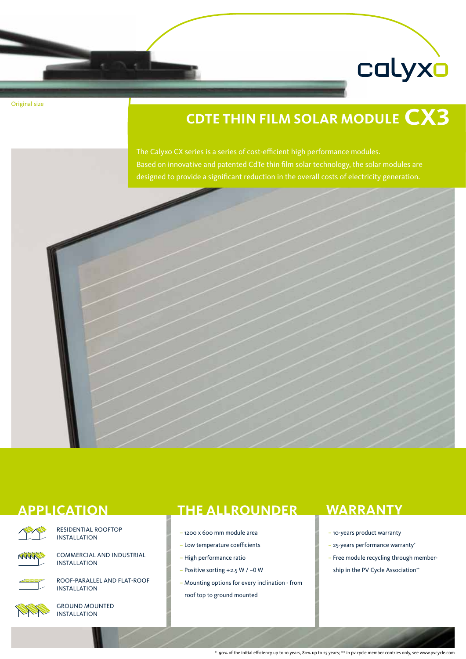

Original size

# **CdTE Thin film solar module CX3**

The Calyxo CX series is a series of cost-efficient high performance modules. Based on innovative and patented CdTe thin film solar technology, the solar modules are designed to provide a significant reduction in the overall costs of electricity generation.





Residential Rooftop Installation



commercial and industrial installation



Roof-parallel and flat-roof installation



Ground mounted installation

### **Application The allrounder**

- 1200 x 600 mm module area
- Low temperature coefficients
- High performance ratio
- Positive sorting +2.5 W / –0 W
- Mounting options for every inclination from roof top to ground mounted

### **Warranty**

- 10-years product warranty
- 25-years performance warranty\*
- Free module recycling through membership in the PV Cycle Association\*\*

\* 90% of the initial efficiency up to 10 years, 80% up to 25 years; \*\* in pv cycle member contries only, see www.pvcycle.com